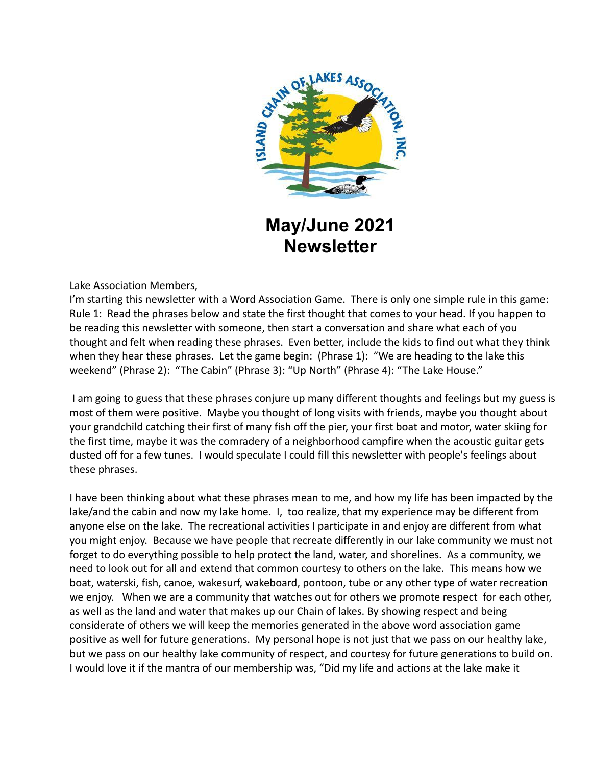

# **May/June 2021 Newsletter**

Lake Association Members,

I'm starting this newsletter with a Word Association Game. There is only one simple rule in this game: Rule 1: Read the phrases below and state the first thought that comes to your head. If you happen to be reading this newsletter with someone, then start a conversation and share what each of you thought and felt when reading these phrases. Even better, include the kids to find out what they think when they hear these phrases. Let the game begin: (Phrase 1): "We are heading to the lake this weekend" (Phrase 2): "The Cabin" (Phrase 3): "Up North" (Phrase 4): "The Lake House."

I am going to guess that these phrases conjure up many different thoughts and feelings but my guess is most of them were positive. Maybe you thought of long visits with friends, maybe you thought about your grandchild catching their first of many fish off the pier, your first boat and motor, water skiing for the first time, maybe it was the comradery of a neighborhood campfire when the acoustic guitar gets dusted off for a few tunes. I would speculate I could fill this newsletter with people's feelings about these phrases.

I have been thinking about what these phrases mean to me, and how my life has been impacted by the lake/and the cabin and now my lake home. I, too realize, that my experience may be different from anyone else on the lake. The recreational activities I participate in and enjoy are different from what you might enjoy. Because we have people that recreate differently in our lake community we must not forget to do everything possible to help protect the land, water, and shorelines. As a community, we need to look out for all and extend that common courtesy to others on the lake. This means how we boat, waterski, fish, canoe, wakesurf, wakeboard, pontoon, tube or any other type of water recreation we enjoy. When we are a community that watches out for others we promote respect for each other, as well as the land and water that makes up our Chain of lakes. By showing respect and being considerate of others we will keep the memories generated in the above word association game positive as well for future generations. My personal hope is not just that we pass on our healthy lake, but we pass on our healthy lake community of respect, and courtesy for future generations to build on. I would love it if the mantra of our membership was, "Did my life and actions at the lake make it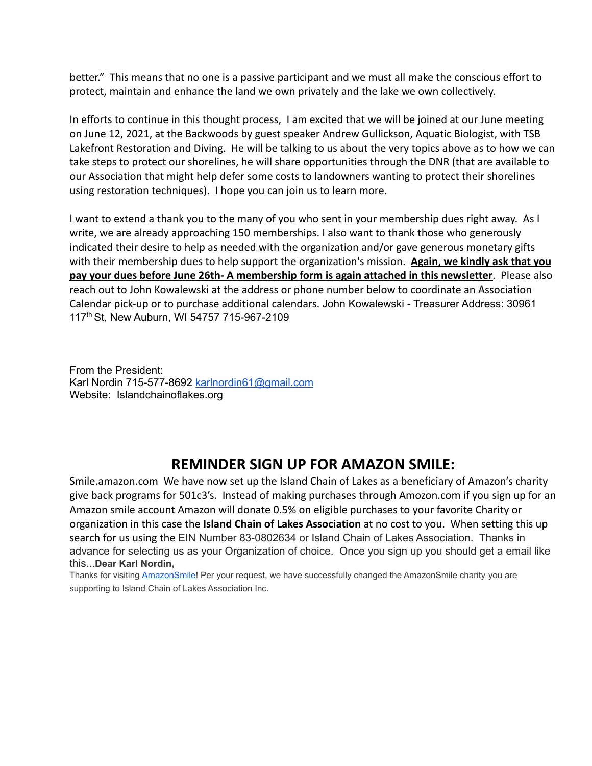better." This means that no one is a passive participant and we must all make the conscious effort to protect, maintain and enhance the land we own privately and the lake we own collectively.

In efforts to continue in this thought process, I am excited that we will be joined at our June meeting on June 12, 2021, at the Backwoods by guest speaker Andrew Gullickson, Aquatic Biologist, with TSB Lakefront Restoration and Diving. He will be talking to us about the very topics above as to how we can take steps to protect our shorelines, he will share opportunities through the DNR (that are available to our Association that might help defer some costs to landowners wanting to protect their shorelines using restoration techniques). I hope you can join us to learn more.

I want to extend a thank you to the many of you who sent in your membership dues right away. As I write, we are already approaching 150 memberships. I also want to thank those who generously indicated their desire to help as needed with the organization and/or gave generous monetary gifts with their membership dues to help support the organization's mission. **Again, we kindly ask that you pay your dues before June 26th- A membership form is again attached in this newsletter**. Please also reach out to John Kowalewski at the address or phone number below to coordinate an Association Calendar pick-up or to purchase additional calendars. John Kowalewski - Treasurer Address: 30961 117 th St, New Auburn, WI 54757 715-967-2109

From the President: Karl Nordin 715-577-8692 [karlnordin61@gmail.com](mailto:karlnordin61@gmail.com) Website: Islandchainoflakes.org

### **REMINDER SIGN UP FOR AMAZON SMILE:**

Smile.amazon.com We have now set up the Island Chain of Lakes as a beneficiary of Amazon's charity give back programs for 501c3's. Instead of making purchases through Amozon.com if you sign up for an Amazon smile account Amazon will donate 0.5% on eligible purchases to your favorite Charity or organization in this case the **Island Chain of Lakes Association** at no cost to you. When setting this up search for us using the EIN Number 83-0802634 or Island Chain of Lakes Association. Thanks in advance for selecting us as your Organization of choice. Once you sign up you should get a email like this...**Dear Karl Nordin,**

Thanks for visiting **[AmazonSmile!](https://www.amazon.com/gp/f.html?C=23FDTID6XJWLZ&K=2QM18UT9EAS9L&M=urn:rtn:msg:20210426194952eb976c1f57714d29a4a27e5d5000p0na&R=AHM872WKTXBK&T=C&U=https%3A%2F%2Fsmile.amazon.com%2Fref%3Dpe_830720_137586720_smi_em_ccc_l1_smi&H=WFVXWTSEEAUWHZ2LTJITWUQRJWKA&ref_=pe_830720_137586720_smi_em_ccc_l1_smi)** Per your request, we have successfully changed the AmazonSmile charity you are supporting to Island Chain of Lakes Association Inc.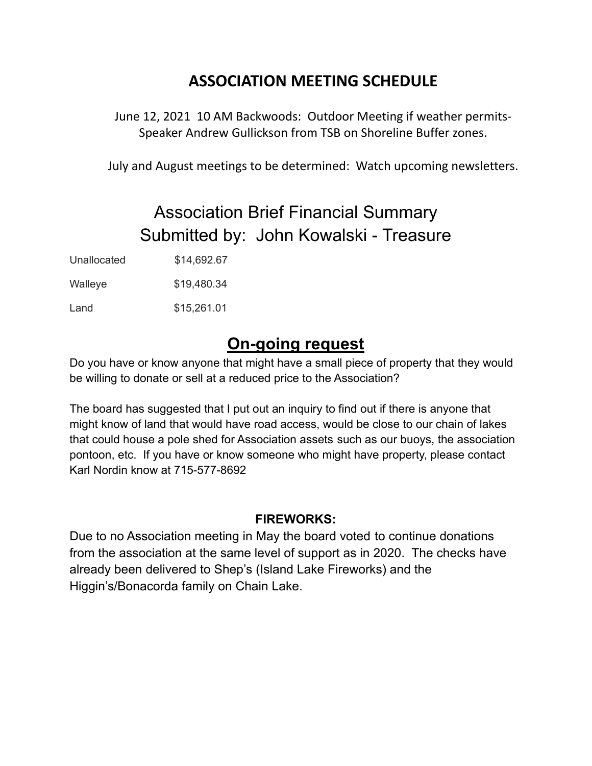### **ASSOCIATION MEETING SCHEDULE**

June 12, 2021 10 AM Backwoods: Outdoor Meeting if weather permits-Speaker Andrew Gullickson from TSB on Shoreline Buffer zones.

July and August meetings to be determined: Watch upcoming newsletters.

# Association Brief Financial Summary Submitted by: John Kowalski - Treasure

Unallocated \$14,692.67

Walleye \$19,480.34

Land \$15,261.01

## **On-going request**

Do you have or know anyone that might have a small piece of property that they would be willing to donate or sell at a reduced price to the Association?

The board has suggested that I put out an inquiry to find out if there is anyone that might know of land that would have road access, would be close to our chain of lakes that could house a pole shed for Association assets such as our buoys, the association pontoon, etc. If you have or know someone who might have property, please contact Karl Nordin know at 715-577-8692

### **FIREWORKS:**

Due to no Association meeting in May the board voted to continue donations from the association at the same level of support as in 2020. The checks have already been delivered to Shep's (Island Lake Fireworks) and the Higgin's/Bonacorda family on Chain Lake.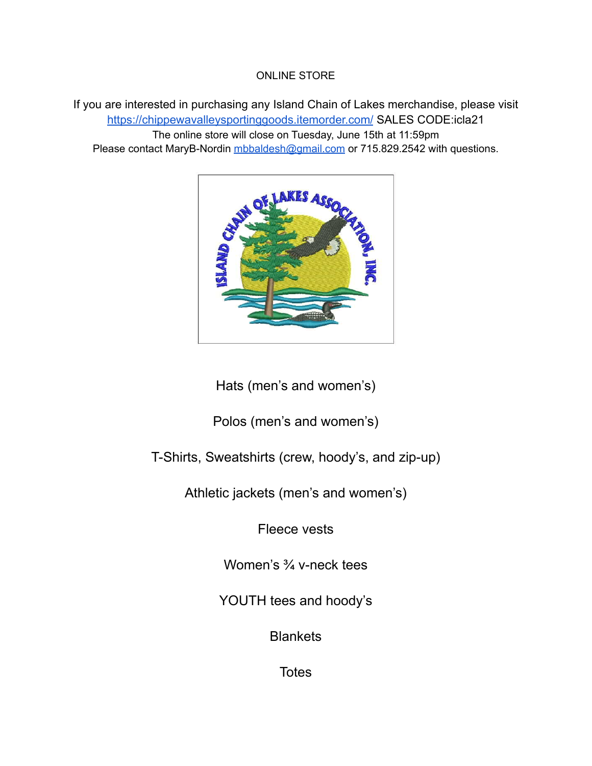#### ONLINE STORE

If you are interested in purchasing any Island Chain of Lakes merchandise, please visit <https://chippewavalleysportinggoods.itemorder.com/> SALES CODE:icla21 The online store will close on Tuesday, June 15th at 11:59pm Please contact MaryB-Nordin [mbbaldesh@gmail.com](mailto:mbbaldesh@gmail.com) or 715.829.2542 with questions.



Hats (men's and women's)

Polos (men's and women's)

T-Shirts, Sweatshirts (crew, hoody's, and zip-up)

Athletic jackets (men's and women's)

Fleece vests

Women's <sup>3/4</sup> v-neck tees

YOUTH tees and hoody's

**Blankets** 

**Totes**